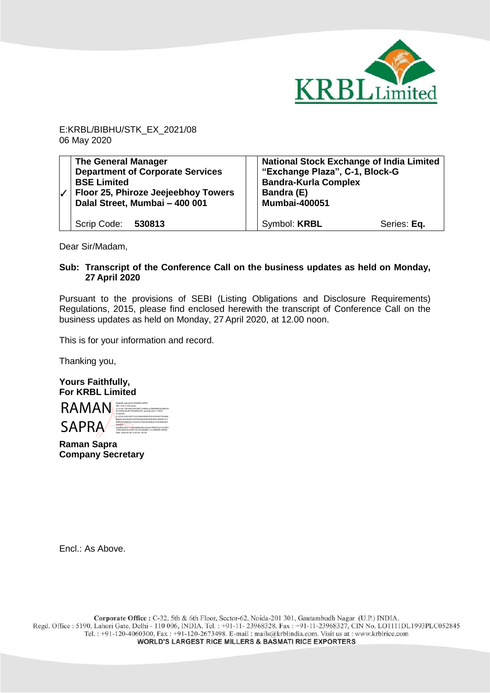

E:KRBL/BIBHU/STK\_EX\_2021/08 06 May 2020

| V | <b>The General Manager</b><br><b>Department of Corporate Services</b><br><b>BSE Limited</b><br>Floor 25, Phiroze Jeejeebhoy Towers<br>Dalal Street, Mumbai - 400 001 | <b>National Stock Exchange of India Limited</b><br>"Exchange Plaza", C-1, Block-G<br><b>Bandra-Kurla Complex</b><br>Bandra (E)<br><b>Mumbai-400051</b> |
|---|----------------------------------------------------------------------------------------------------------------------------------------------------------------------|--------------------------------------------------------------------------------------------------------------------------------------------------------|
|   | Scrip Code: 530813                                                                                                                                                   | Symbol: KRBL<br>Series: Eq.                                                                                                                            |

Dear Sir/Madam,

## **Sub: Transcript of the Conference Call on the business updates as held on Monday, 27 April 2020**

Pursuant to the provisions of SEBI (Listing Obligations and Disclosure Requirements) Regulations, 2015, please find enclosed herewith the transcript of Conference Call on the business updates as held on Monday, 27 April 2020, at 12.00 noon.

This is for your information and record.

Thanking you,

**Yours Faithfully, For KRBL Limited**

RAMAN SAPRA BANDARY SAPRA A CHANNEL SAPRA A CHANNEL SAPRA A CHANNEL SAPRA A CHANNEL SAPRA A CHANNEL SAPRA A CH SAPRA 2.5.4.45=03410031353530643938376533393437303064 626661643563623230393066303035663961383461313 664373439663331323261616636356662373339646364 343930, serialNumber=15cbe9dded45c032a01894d72a7cb7af43 13fb2366016cd2de145cfc530838fc, cn=RAMAN SAPRA Date: 2020.05.06 15:45:56 +05'30'

**Raman Sapra Company Secretary**

Encl.: As Above.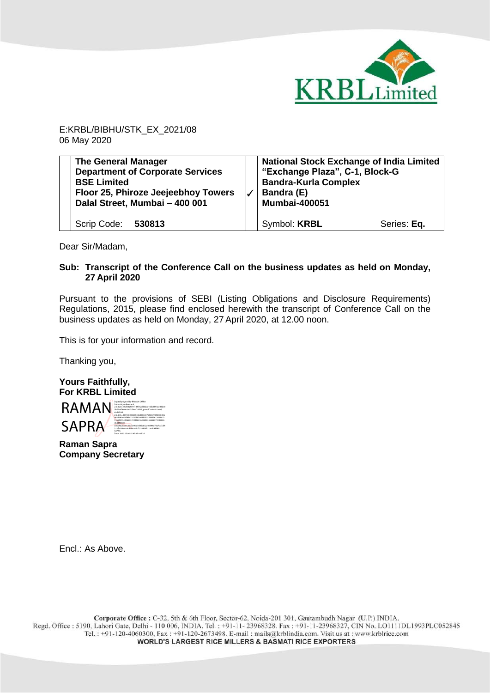

E:KRBL/BIBHU/STK\_EX\_2021/08 06 May 2020

| <b>The General Manager</b><br><b>Department of Corporate Services</b><br><b>BSE Limited</b><br>Floor 25, Phiroze Jeejeebhoy Towers<br>Dalal Street, Mumbai - 400 001 | <b>National Stock Exchange of India Limited</b><br>"Exchange Plaza", C-1, Block-G<br><b>Bandra-Kurla Complex</b><br>Bandra (E)<br><b>Mumbai-400051</b> |             |
|----------------------------------------------------------------------------------------------------------------------------------------------------------------------|--------------------------------------------------------------------------------------------------------------------------------------------------------|-------------|
| Scrip Code: 530813                                                                                                                                                   | Symbol: <b>KRBL</b>                                                                                                                                    | Series: Eq. |

Dear Sir/Madam,

## **Sub: Transcript of the Conference Call on the business updates as held on Monday, 27 April 2020**

Pursuant to the provisions of SEBI (Listing Obligations and Disclosure Requirements) Regulations, 2015, please find enclosed herewith the transcript of Conference Call on the business updates as held on Monday, 27 April 2020, at 12.00 noon.

This is for your information and record.

Thanking you,

**Yours Faithfully, For KRBL Limited**

RAMAN<br>
BAMAN<br>
RAMAN BAZZONALISTICS SAPRA Digitally signed by RAMAN SAPRA 2.5.4.20=18cf30a1544184712dd62ca166b9893ae39be0 3b72c0f4a44c907cf6e8f25d25, postalCode=110007, st=DELHI, 2.5.4.45=0341003135353064393837653339343730306 46266616435636232303930663030356639613834613 13664373439663331323261616636356662373339646 364343930, serialNumber=15cbe9dded45c032a01894d72a7cb7af4 313fb2366016cd2de145cfc530838fc, cn=RAMAN SAPRA Date: 2020.05.06 15:47:35 +05'30'

**Raman Sapra Company Secretary**

Encl.: As Above.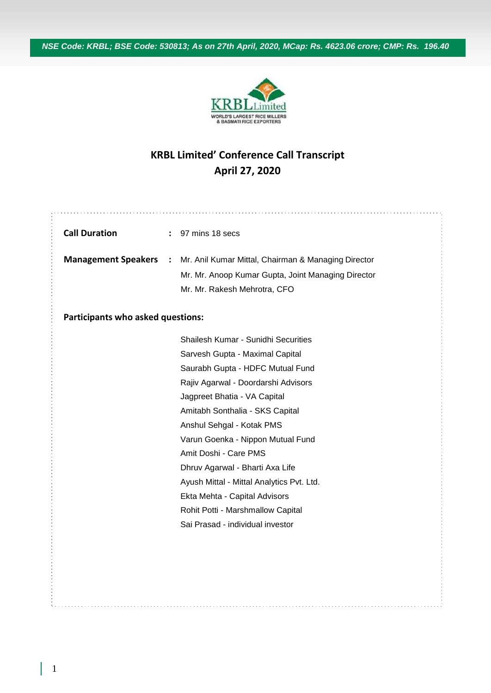*NSE Code: KRBL; BSE Code: 530813; As on 27th April, 2020, MCap: Rs. 4623.06 crore; CMP: Rs. 196.40*



## **KRBL Limited' Conference Call Transcript April 27, 2020**

| <b>Call Duration</b>                     |                | : 97 mins 18 secs                                   |  |  |  |  |
|------------------------------------------|----------------|-----------------------------------------------------|--|--|--|--|
| <b>Management Speakers</b>               | $\ddot{\cdot}$ | Mr. Anil Kumar Mittal, Chairman & Managing Director |  |  |  |  |
|                                          |                | Mr. Mr. Anoop Kumar Gupta, Joint Managing Director  |  |  |  |  |
|                                          |                | Mr. Mr. Rakesh Mehrotra, CFO                        |  |  |  |  |
| <b>Participants who asked questions:</b> |                |                                                     |  |  |  |  |
|                                          |                | Shailesh Kumar - Sunidhi Securities                 |  |  |  |  |
|                                          |                | Sarvesh Gupta - Maximal Capital                     |  |  |  |  |
|                                          |                | Saurabh Gupta - HDFC Mutual Fund                    |  |  |  |  |
|                                          |                | Rajiv Agarwal - Doordarshi Advisors                 |  |  |  |  |
|                                          |                | Jagpreet Bhatia - VA Capital                        |  |  |  |  |
|                                          |                | Amitabh Sonthalia - SKS Capital                     |  |  |  |  |
|                                          |                | Anshul Sehgal - Kotak PMS                           |  |  |  |  |
|                                          |                | Varun Goenka - Nippon Mutual Fund                   |  |  |  |  |
|                                          |                | Amit Doshi - Care PMS                               |  |  |  |  |
|                                          |                | Dhruv Agarwal - Bharti Axa Life                     |  |  |  |  |
|                                          |                | Ayush Mittal - Mittal Analytics Pvt. Ltd.           |  |  |  |  |
|                                          |                | Ekta Mehta - Capital Advisors                       |  |  |  |  |
|                                          |                | Rohit Potti - Marshmallow Capital                   |  |  |  |  |
|                                          |                | Sai Prasad - individual investor                    |  |  |  |  |
|                                          |                |                                                     |  |  |  |  |
|                                          |                |                                                     |  |  |  |  |
|                                          |                |                                                     |  |  |  |  |
|                                          |                |                                                     |  |  |  |  |
|                                          |                |                                                     |  |  |  |  |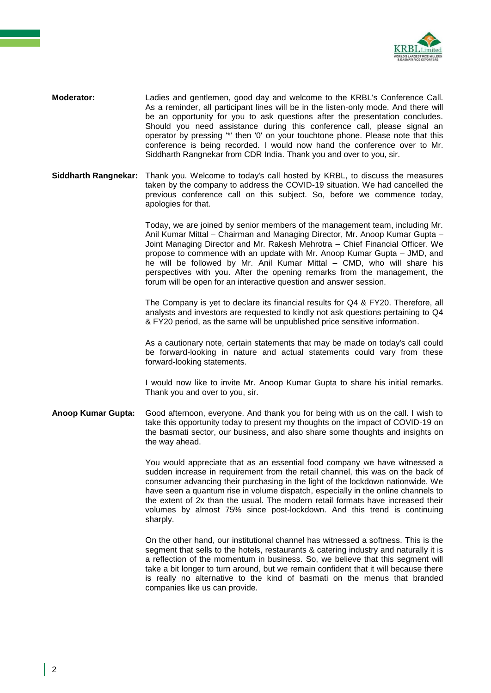

- **Moderator:** Ladies and gentlemen, good day and welcome to the KRBL's Conference Call. As a reminder, all participant lines will be in the listen-only mode. And there will be an opportunity for you to ask questions after the presentation concludes. Should you need assistance during this conference call, please signal an operator by pressing '\*' then '0' on your touchtone phone. Please note that this conference is being recorded. I would now hand the conference over to Mr. Siddharth Rangnekar from CDR India. Thank you and over to you, sir.
- **Siddharth Rangnekar:** Thank you. Welcome to today's call hosted by KRBL, to discuss the measures taken by the company to address the COVID-19 situation. We had cancelled the previous conference call on this subject. So, before we commence today, apologies for that.

Today, we are joined by senior members of the management team, including Mr. Anil Kumar Mittal – Chairman and Managing Director, Mr. Anoop Kumar Gupta – Joint Managing Director and Mr. Rakesh Mehrotra – Chief Financial Officer. We propose to commence with an update with Mr. Anoop Kumar Gupta – JMD, and he will be followed by Mr. Anil Kumar Mittal – CMD, who will share his perspectives with you. After the opening remarks from the management, the forum will be open for an interactive question and answer session.

The Company is yet to declare its financial results for Q4 & FY20. Therefore, all analysts and investors are requested to kindly not ask questions pertaining to Q4 & FY20 period, as the same will be unpublished price sensitive information.

As a cautionary note, certain statements that may be made on today's call could be forward-looking in nature and actual statements could vary from these forward-looking statements.

I would now like to invite Mr. Anoop Kumar Gupta to share his initial remarks. Thank you and over to you, sir.

**Anoop Kumar Gupta:** Good afternoon, everyone. And thank you for being with us on the call. I wish to take this opportunity today to present my thoughts on the impact of COVID-19 on the basmati sector, our business, and also share some thoughts and insights on the way ahead.

> You would appreciate that as an essential food company we have witnessed a sudden increase in requirement from the retail channel, this was on the back of consumer advancing their purchasing in the light of the lockdown nationwide. We have seen a quantum rise in volume dispatch, especially in the online channels to the extent of 2x than the usual. The modern retail formats have increased their volumes by almost 75% since post-lockdown. And this trend is continuing sharply.

> On the other hand, our institutional channel has witnessed a softness. This is the segment that sells to the hotels, restaurants & catering industry and naturally it is a reflection of the momentum in business. So, we believe that this segment will take a bit longer to turn around, but we remain confident that it will because there is really no alternative to the kind of basmati on the menus that branded companies like us can provide.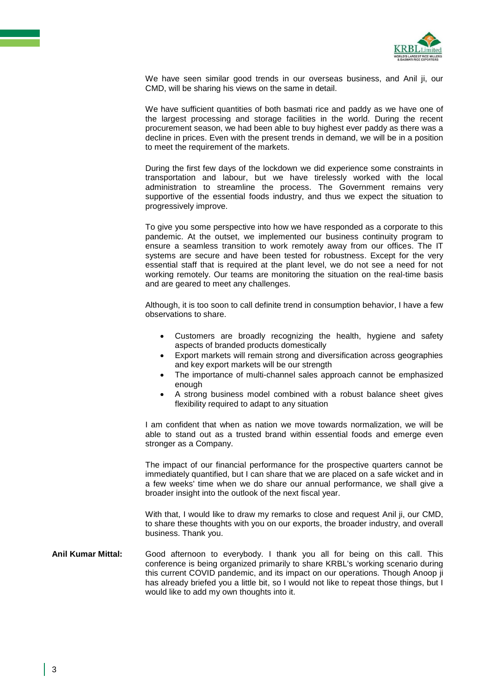

We have seen similar good trends in our overseas business, and Anil ji, our CMD, will be sharing his views on the same in detail.

We have sufficient quantities of both basmati rice and paddy as we have one of the largest processing and storage facilities in the world. During the recent procurement season, we had been able to buy highest ever paddy as there was a decline in prices. Even with the present trends in demand, we will be in a position to meet the requirement of the markets.

During the first few days of the lockdown we did experience some constraints in transportation and labour, but we have tirelessly worked with the local administration to streamline the process. The Government remains very supportive of the essential foods industry, and thus we expect the situation to progressively improve.

To give you some perspective into how we have responded as a corporate to this pandemic. At the outset, we implemented our business continuity program to ensure a seamless transition to work remotely away from our offices. The IT systems are secure and have been tested for robustness. Except for the very essential staff that is required at the plant level, we do not see a need for not working remotely. Our teams are monitoring the situation on the real-time basis and are geared to meet any challenges.

Although, it is too soon to call definite trend in consumption behavior, I have a few observations to share.

- Customers are broadly recognizing the health, hygiene and safety aspects of branded products domestically
- Export markets will remain strong and diversification across geographies and key export markets will be our strength
- The importance of multi-channel sales approach cannot be emphasized enough
- A strong business model combined with a robust balance sheet gives flexibility required to adapt to any situation

I am confident that when as nation we move towards normalization, we will be able to stand out as a trusted brand within essential foods and emerge even stronger as a Company.

The impact of our financial performance for the prospective quarters cannot be immediately quantified, but I can share that we are placed on a safe wicket and in a few weeks' time when we do share our annual performance, we shall give a broader insight into the outlook of the next fiscal year.

With that, I would like to draw my remarks to close and request Anil ji, our CMD, to share these thoughts with you on our exports, the broader industry, and overall business. Thank you.

**Anil Kumar Mittal:** Good afternoon to everybody. I thank you all for being on this call. This conference is being organized primarily to share KRBL's working scenario during this current COVID pandemic, and its impact on our operations. Though Anoop ji has already briefed you a little bit, so I would not like to repeat those things, but I would like to add my own thoughts into it.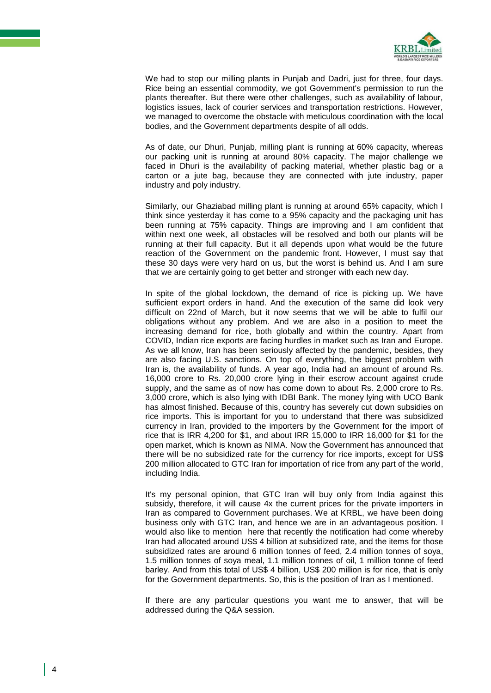

We had to stop our milling plants in Puniab and Dadri, just for three, four days. Rice being an essential commodity, we got Government's permission to run the plants thereafter. But there were other challenges, such as availability of labour, logistics issues, lack of courier services and transportation restrictions. However, we managed to overcome the obstacle with meticulous coordination with the local bodies, and the Government departments despite of all odds.

As of date, our Dhuri, Punjab, milling plant is running at 60% capacity, whereas our packing unit is running at around 80% capacity. The major challenge we faced in Dhuri is the availability of packing material, whether plastic bag or a carton or a jute bag, because they are connected with jute industry, paper industry and poly industry.

Similarly, our Ghaziabad milling plant is running at around 65% capacity, which I think since yesterday it has come to a 95% capacity and the packaging unit has been running at 75% capacity. Things are improving and I am confident that within next one week, all obstacles will be resolved and both our plants will be running at their full capacity. But it all depends upon what would be the future reaction of the Government on the pandemic front. However, I must say that these 30 days were very hard on us, but the worst is behind us. And I am sure that we are certainly going to get better and stronger with each new day.

In spite of the global lockdown, the demand of rice is picking up. We have sufficient export orders in hand. And the execution of the same did look very difficult on 22nd of March, but it now seems that we will be able to fulfil our obligations without any problem. And we are also in a position to meet the increasing demand for rice, both globally and within the country. Apart from COVID, Indian rice exports are facing hurdles in market such as Iran and Europe. As we all know, Iran has been seriously affected by the pandemic, besides, they are also facing U.S. sanctions. On top of everything, the biggest problem with Iran is, the availability of funds. A year ago, India had an amount of around Rs. 16,000 crore to Rs. 20,000 crore lying in their escrow account against crude supply, and the same as of now has come down to about Rs. 2,000 crore to Rs. 3,000 crore, which is also lying with IDBI Bank. The money lying with UCO Bank has almost finished. Because of this, country has severely cut down subsidies on rice imports. This is important for you to understand that there was subsidized currency in Iran, provided to the importers by the Government for the import of rice that is IRR 4,200 for \$1, and about IRR 15,000 to IRR 16,000 for \$1 for the open market, which is known as NIMA. Now the Government has announced that there will be no subsidized rate for the currency for rice imports, except for US\$ 200 million allocated to GTC Iran for importation of rice from any part of the world, including India.

It's my personal opinion, that GTC Iran will buy only from India against this subsidy, therefore, it will cause 4x the current prices for the private importers in Iran as compared to Government purchases. We at KRBL, we have been doing business only with GTC Iran, and hence we are in an advantageous position. I would also like to mention here that recently the notification had come whereby Iran had allocated around US\$ 4 billion at subsidized rate, and the items for those subsidized rates are around 6 million tonnes of feed, 2.4 million tonnes of soya, 1.5 million tonnes of soya meal, 1.1 million tonnes of oil, 1 million tonne of feed barley. And from this total of US\$ 4 billion, US\$ 200 million is for rice, that is only for the Government departments. So, this is the position of Iran as I mentioned.

If there are any particular questions you want me to answer, that will be addressed during the Q&A session.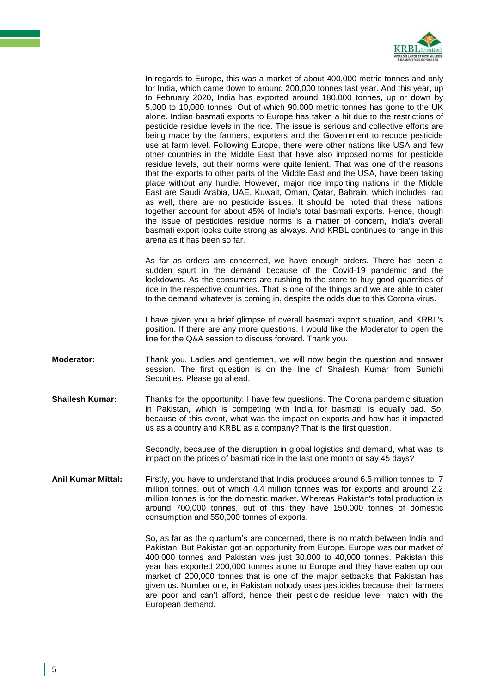

In regards to Europe, this was a market of about 400,000 metric tonnes and only for India, which came down to around 200,000 tonnes last year. And this year, up to February 2020, India has exported around 180,000 tonnes, up or down by 5,000 to 10,000 tonnes. Out of which 90,000 metric tonnes has gone to the UK alone. Indian basmati exports to Europe has taken a hit due to the restrictions of pesticide residue levels in the rice. The issue is serious and collective efforts are being made by the farmers, exporters and the Government to reduce pesticide use at farm level. Following Europe, there were other nations like USA and few other countries in the Middle East that have also imposed norms for pesticide residue levels, but their norms were quite lenient. That was one of the reasons that the exports to other parts of the Middle East and the USA, have been taking place without any hurdle. However, major rice importing nations in the Middle East are Saudi Arabia, UAE, Kuwait, Oman, Qatar, Bahrain, which includes Iraq as well, there are no pesticide issues. It should be noted that these nations together account for about 45% of India's total basmati exports. Hence, though the issue of pesticides residue norms is a matter of concern, India's overall basmati export looks quite strong as always. And KRBL continues to range in this arena as it has been so far.

As far as orders are concerned, we have enough orders. There has been a sudden spurt in the demand because of the Covid-19 pandemic and the lockdowns. As the consumers are rushing to the store to buy good quantities of rice in the respective countries. That is one of the things and we are able to cater to the demand whatever is coming in, despite the odds due to this Corona virus.

I have given you a brief glimpse of overall basmati export situation, and KRBL's position. If there are any more questions, I would like the Moderator to open the line for the Q&A session to discuss forward. Thank you.

- **Moderator:** Thank you. Ladies and gentlemen, we will now begin the question and answer session. The first question is on the line of Shailesh Kumar from Sunidhi Securities. Please go ahead.
- **Shailesh Kumar:** Thanks for the opportunity. I have few questions. The Corona pandemic situation in Pakistan, which is competing with India for basmati, is equally bad. So, because of this event, what was the impact on exports and how has it impacted us as a country and KRBL as a company? That is the first question.

Secondly, because of the disruption in global logistics and demand, what was its impact on the prices of basmati rice in the last one month or say 45 days?

**Anil Kumar Mittal:** Firstly, you have to understand that India produces around 6.5 million tonnes to 7 million tonnes, out of which 4.4 million tonnes was for exports and around 2.2 million tonnes is for the domestic market. Whereas Pakistan's total production is around 700,000 tonnes, out of this they have 150,000 tonnes of domestic consumption and 550,000 tonnes of exports.

> So, as far as the quantum's are concerned, there is no match between India and Pakistan. But Pakistan got an opportunity from Europe. Europe was our market of 400,000 tonnes and Pakistan was just 30,000 to 40,000 tonnes. Pakistan this year has exported 200,000 tonnes alone to Europe and they have eaten up our market of 200,000 tonnes that is one of the major setbacks that Pakistan has given us. Number one, in Pakistan nobody uses pesticides because their farmers are poor and can't afford, hence their pesticide residue level match with the European demand.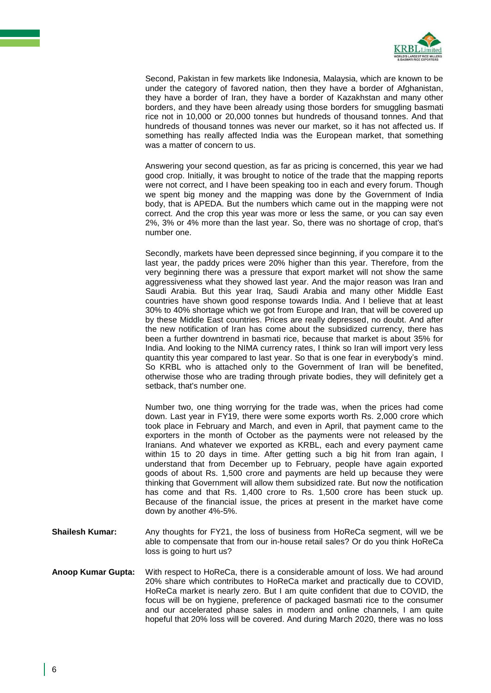

Second, Pakistan in few markets like Indonesia, Malaysia, which are known to be under the category of favored nation, then they have a border of Afghanistan, they have a border of Iran, they have a border of Kazakhstan and many other borders, and they have been already using those borders for smuggling basmati rice not in 10,000 or 20,000 tonnes but hundreds of thousand tonnes. And that hundreds of thousand tonnes was never our market, so it has not affected us. If something has really affected India was the European market, that something was a matter of concern to us.

Answering your second question, as far as pricing is concerned, this year we had good crop. Initially, it was brought to notice of the trade that the mapping reports were not correct, and I have been speaking too in each and every forum. Though we spent big money and the mapping was done by the Government of India body, that is APEDA. But the numbers which came out in the mapping were not correct. And the crop this year was more or less the same, or you can say even 2%, 3% or 4% more than the last year. So, there was no shortage of crop, that's number one.

Secondly, markets have been depressed since beginning, if you compare it to the last year, the paddy prices were 20% higher than this year. Therefore, from the very beginning there was a pressure that export market will not show the same aggressiveness what they showed last year. And the major reason was Iran and Saudi Arabia. But this year Iraq, Saudi Arabia and many other Middle East countries have shown good response towards India. And I believe that at least 30% to 40% shortage which we got from Europe and Iran, that will be covered up by these Middle East countries. Prices are really depressed, no doubt. And after the new notification of Iran has come about the subsidized currency, there has been a further downtrend in basmati rice, because that market is about 35% for India. And looking to the NIMA currency rates, I think so Iran will import very less quantity this year compared to last year. So that is one fear in everybody's mind. So KRBL who is attached only to the Government of Iran will be benefited, otherwise those who are trading through private bodies, they will definitely get a setback, that's number one.

Number two, one thing worrying for the trade was, when the prices had come down. Last year in FY19, there were some exports worth Rs. 2,000 crore which took place in February and March, and even in April, that payment came to the exporters in the month of October as the payments were not released by the Iranians. And whatever we exported as KRBL, each and every payment came within 15 to 20 days in time. After getting such a big hit from Iran again, I understand that from December up to February, people have again exported goods of about Rs. 1,500 crore and payments are held up because they were thinking that Government will allow them subsidized rate. But now the notification has come and that Rs. 1,400 crore to Rs. 1,500 crore has been stuck up. Because of the financial issue, the prices at present in the market have come down by another 4%-5%.

- **Shailesh Kumar:** Any thoughts for FY21, the loss of business from HoReCa segment, will we be able to compensate that from our in-house retail sales? Or do you think HoReCa loss is going to hurt us?
- **Anoop Kumar Gupta:** With respect to HoReCa, there is a considerable amount of loss. We had around 20% share which contributes to HoReCa market and practically due to COVID, HoReCa market is nearly zero. But I am quite confident that due to COVID, the focus will be on hygiene, preference of packaged basmati rice to the consumer and our accelerated phase sales in modern and online channels, I am quite hopeful that 20% loss will be covered. And during March 2020, there was no loss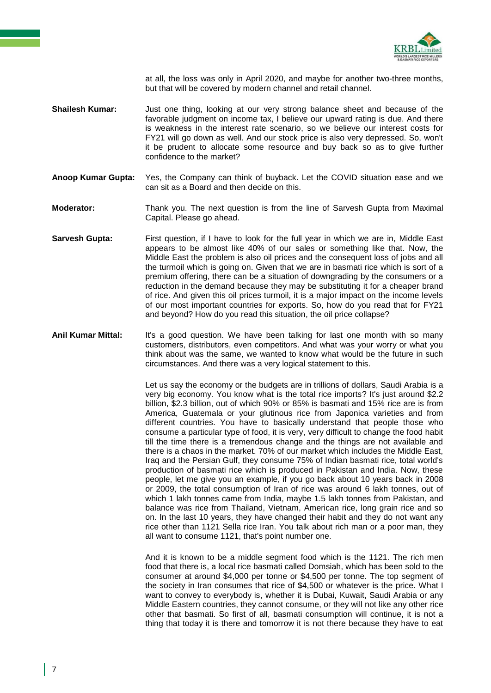

at all, the loss was only in April 2020, and maybe for another two-three months, but that will be covered by modern channel and retail channel.

- **Shailesh Kumar:** Just one thing, looking at our very strong balance sheet and because of the favorable judgment on income tax, I believe our upward rating is due. And there is weakness in the interest rate scenario, so we believe our interest costs for FY21 will go down as well. And our stock price is also very depressed. So, won't it be prudent to allocate some resource and buy back so as to give further confidence to the market?
- **Anoop Kumar Gupta:** Yes, the Company can think of buyback. Let the COVID situation ease and we can sit as a Board and then decide on this.
- **Moderator:** Thank you. The next question is from the line of Sarvesh Gupta from Maximal Capital. Please go ahead.
- **Sarvesh Gupta:** First question, if I have to look for the full year in which we are in, Middle East appears to be almost like 40% of our sales or something like that. Now, the Middle East the problem is also oil prices and the consequent loss of jobs and all the turmoil which is going on. Given that we are in basmati rice which is sort of a premium offering, there can be a situation of downgrading by the consumers or a reduction in the demand because they may be substituting it for a cheaper brand of rice. And given this oil prices turmoil, it is a major impact on the income levels of our most important countries for exports. So, how do you read that for FY21 and beyond? How do you read this situation, the oil price collapse?
- **Anil Kumar Mittal:** It's a good question. We have been talking for last one month with so many customers, distributors, even competitors. And what was your worry or what you think about was the same, we wanted to know what would be the future in such circumstances. And there was a very logical statement to this.

Let us say the economy or the budgets are in trillions of dollars, Saudi Arabia is a very big economy. You know what is the total rice imports? It's just around \$2.2 billion, \$2.3 billion, out of which 90% or 85% is basmati and 15% rice are is from America, Guatemala or your glutinous rice from Japonica varieties and from different countries. You have to basically understand that people those who consume a particular type of food, it is very, very difficult to change the food habit till the time there is a tremendous change and the things are not available and there is a chaos in the market. 70% of our market which includes the Middle East, Iraq and the Persian Gulf, they consume 75% of Indian basmati rice, total world's production of basmati rice which is produced in Pakistan and India. Now, these people, let me give you an example, if you go back about 10 years back in 2008 or 2009, the total consumption of Iran of rice was around 6 lakh tonnes, out of which 1 lakh tonnes came from India, maybe 1.5 lakh tonnes from Pakistan, and balance was rice from Thailand, Vietnam, American rice, long grain rice and so on. In the last 10 years, they have changed their habit and they do not want any rice other than 1121 Sella rice Iran. You talk about rich man or a poor man, they all want to consume 1121, that's point number one.

And it is known to be a middle segment food which is the 1121. The rich men food that there is, a local rice basmati called Domsiah, which has been sold to the consumer at around \$4,000 per tonne or \$4,500 per tonne. The top segment of the society in Iran consumes that rice of \$4,500 or whatever is the price. What I want to convey to everybody is, whether it is Dubai, Kuwait, Saudi Arabia or any Middle Eastern countries, they cannot consume, or they will not like any other rice other that basmati. So first of all, basmati consumption will continue, it is not a thing that today it is there and tomorrow it is not there because they have to eat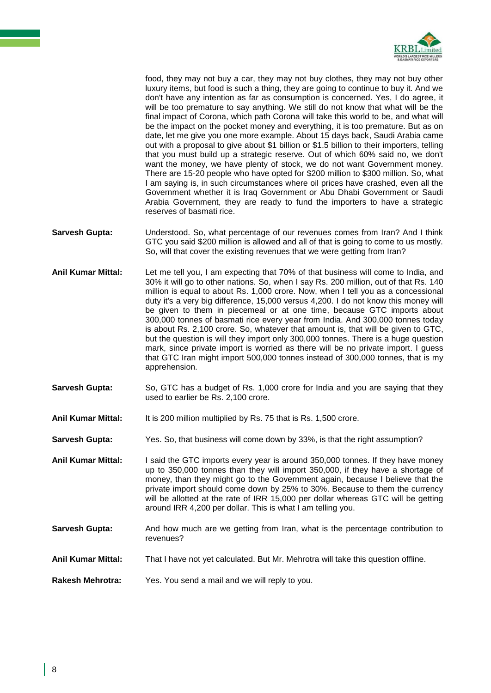

food, they may not buy a car, they may not buy clothes, they may not buy other luxury items, but food is such a thing, they are going to continue to buy it. And we don't have any intention as far as consumption is concerned. Yes, I do agree, it will be too premature to say anything. We still do not know that what will be the final impact of Corona, which path Corona will take this world to be, and what will be the impact on the pocket money and everything, it is too premature. But as on date, let me give you one more example. About 15 days back, Saudi Arabia came out with a proposal to give about \$1 billion or \$1.5 billion to their importers, telling that you must build up a strategic reserve. Out of which 60% said no, we don't want the money, we have plenty of stock, we do not want Government money. There are 15-20 people who have opted for \$200 million to \$300 million. So, what I am saying is, in such circumstances where oil prices have crashed, even all the Government whether it is Iraq Government or Abu Dhabi Government or Saudi Arabia Government, they are ready to fund the importers to have a strategic reserves of basmati rice.

- **Sarvesh Gupta:** Understood. So, what percentage of our revenues comes from Iran? And I think GTC you said \$200 million is allowed and all of that is going to come to us mostly. So, will that cover the existing revenues that we were getting from Iran?
- **Anil Kumar Mittal:** Let me tell you, I am expecting that 70% of that business will come to India, and 30% it will go to other nations. So, when I say Rs. 200 million, out of that Rs. 140 million is equal to about Rs. 1,000 crore. Now, when I tell you as a concessional duty it's a very big difference, 15,000 versus 4,200. I do not know this money will be given to them in piecemeal or at one time, because GTC imports about 300,000 tonnes of basmati rice every year from India. And 300,000 tonnes today is about Rs. 2,100 crore. So, whatever that amount is, that will be given to GTC, but the question is will they import only 300,000 tonnes. There is a huge question mark, since private import is worried as there will be no private import. I guess that GTC Iran might import 500,000 tonnes instead of 300,000 tonnes, that is my apprehension.
- **Sarvesh Gupta:** So, GTC has a budget of Rs. 1,000 crore for India and you are saying that they used to earlier be Rs. 2,100 crore.
- **Anil Kumar Mittal:** It is 200 million multiplied by Rs. 75 that is Rs. 1,500 crore.
- **Sarvesh Gupta:** Yes. So, that business will come down by 33%, is that the right assumption?
- **Anil Kumar Mittal:** I said the GTC imports every year is around 350,000 tonnes. If they have money up to 350,000 tonnes than they will import 350,000, if they have a shortage of money, than they might go to the Government again, because I believe that the private import should come down by 25% to 30%. Because to them the currency will be allotted at the rate of IRR 15,000 per dollar whereas GTC will be getting around IRR 4,200 per dollar. This is what I am telling you.
- **Sarvesh Gupta:** And how much are we getting from Iran, what is the percentage contribution to revenues?
- **Anil Kumar Mittal:** That I have not yet calculated. But Mr. Mehrotra will take this question offline.
- **Rakesh Mehrotra:** Yes. You send a mail and we will reply to you.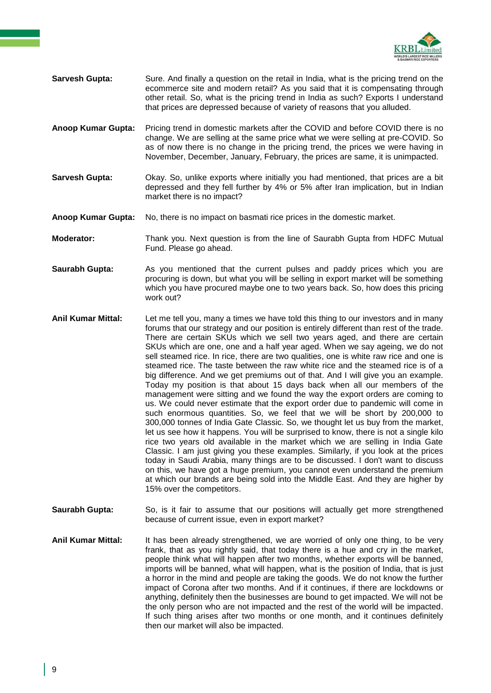

- **Sarvesh Gupta:** Sure. And finally a question on the retail in India, what is the pricing trend on the ecommerce site and modern retail? As you said that it is compensating through other retail. So, what is the pricing trend in India as such? Exports I understand that prices are depressed because of variety of reasons that you alluded.
- **Anoop Kumar Gupta:** Pricing trend in domestic markets after the COVID and before COVID there is no change. We are selling at the same price what we were selling at pre-COVID. So as of now there is no change in the pricing trend, the prices we were having in November, December, January, February, the prices are same, it is unimpacted.
- **Sarvesh Gupta:** Okay. So, unlike exports where initially you had mentioned, that prices are a bit depressed and they fell further by 4% or 5% after Iran implication, but in Indian market there is no impact?
- **Anoop Kumar Gupta:** No, there is no impact on basmati rice prices in the domestic market.
- **Moderator:** Thank you. Next question is from the line of Saurabh Gupta from HDFC Mutual Fund. Please go ahead.
- **Saurabh Gupta:** As you mentioned that the current pulses and paddy prices which you are procuring is down, but what you will be selling in export market will be something which you have procured maybe one to two years back. So, how does this pricing work out?
- **Anil Kumar Mittal:** Let me tell you, many a times we have told this thing to our investors and in many forums that our strategy and our position is entirely different than rest of the trade. There are certain SKUs which we sell two years aged, and there are certain SKUs which are one, one and a half year aged. When we say ageing, we do not sell steamed rice. In rice, there are two qualities, one is white raw rice and one is steamed rice. The taste between the raw white rice and the steamed rice is of a big difference. And we get premiums out of that. And I will give you an example. Today my position is that about 15 days back when all our members of the management were sitting and we found the way the export orders are coming to us. We could never estimate that the export order due to pandemic will come in such enormous quantities. So, we feel that we will be short by 200,000 to 300,000 tonnes of India Gate Classic. So, we thought let us buy from the market, let us see how it happens. You will be surprised to know, there is not a single kilo rice two years old available in the market which we are selling in India Gate Classic. I am just giving you these examples. Similarly, if you look at the prices today in Saudi Arabia, many things are to be discussed. I don't want to discuss on this, we have got a huge premium, you cannot even understand the premium at which our brands are being sold into the Middle East. And they are higher by 15% over the competitors.
- **Saurabh Gupta:** So, is it fair to assume that our positions will actually get more strengthened because of current issue, even in export market?
- **Anil Kumar Mittal:** It has been already strengthened, we are worried of only one thing, to be very frank, that as you rightly said, that today there is a hue and cry in the market, people think what will happen after two months, whether exports will be banned, imports will be banned, what will happen, what is the position of India, that is just a horror in the mind and people are taking the goods. We do not know the further impact of Corona after two months. And if it continues, if there are lockdowns or anything, definitely then the businesses are bound to get impacted. We will not be the only person who are not impacted and the rest of the world will be impacted. If such thing arises after two months or one month, and it continues definitely then our market will also be impacted.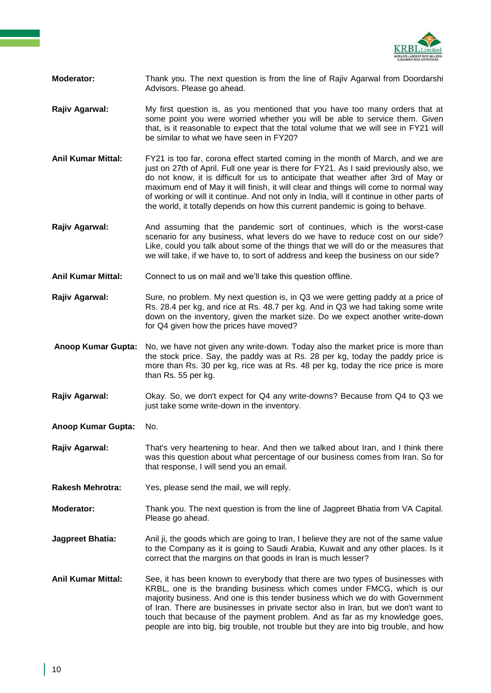

- **Moderator:** Thank you. The next question is from the line of Rajiv Agarwal from Doordarshi Advisors. Please go ahead.
- **Rajiv Agarwal:** My first question is, as you mentioned that you have too many orders that at some point you were worried whether you will be able to service them. Given that, is it reasonable to expect that the total volume that we will see in FY21 will be similar to what we have seen in FY20?
- **Anil Kumar Mittal:** FY21 is too far, corona effect started coming in the month of March, and we are just on 27th of April. Full one year is there for FY21. As I said previously also, we do not know, it is difficult for us to anticipate that weather after 3rd of May or maximum end of May it will finish, it will clear and things will come to normal way of working or will it continue. And not only in India, will it continue in other parts of the world, it totally depends on how this current pandemic is going to behave.
- **Rajiv Agarwal:** And assuming that the pandemic sort of continues, which is the worst-case scenario for any business, what levers do we have to reduce cost on our side? Like, could you talk about some of the things that we will do or the measures that we will take, if we have to, to sort of address and keep the business on our side?
- **Anil Kumar Mittal:** Connect to us on mail and we'll take this question offline.
- **Rajiv Agarwal:** Sure, no problem. My next question is, in Q3 we were getting paddy at a price of Rs. 28.4 per kg, and rice at Rs. 48.7 per kg. And in Q3 we had taking some write down on the inventory, given the market size. Do we expect another write-down for Q4 given how the prices have moved?

**Anoop Kumar Gupta:** No, we have not given any write-down. Today also the market price is more than the stock price. Say, the paddy was at Rs. 28 per kg, today the paddy price is more than Rs. 30 per kg, rice was at Rs. 48 per kg, today the rice price is more than Rs. 55 per kg.

- **Rajiv Agarwal:** Okay. So, we don't expect for Q4 any write-downs? Because from Q4 to Q3 we just take some write-down in the inventory.
- **Anoop Kumar Gupta:** No.
- **Rajiv Agarwal:** That's very heartening to hear. And then we talked about Iran, and I think there was this question about what percentage of our business comes from Iran. So for that response, I will send you an email.
- **Rakesh Mehrotra:** Yes, please send the mail, we will reply.
- **Moderator:** Thank you. The next question is from the line of Jagpreet Bhatia from VA Capital. Please go ahead.
- **Jagpreet Bhatia:** Anil ji, the goods which are going to Iran, I believe they are not of the same value to the Company as it is going to Saudi Arabia, Kuwait and any other places. Is it correct that the margins on that goods in Iran is much lesser?
- **Anil Kumar Mittal:** See, it has been known to everybody that there are two types of businesses with KRBL, one is the branding business which comes under FMCG, which is our majority business. And one is this tender business which we do with Government of Iran. There are businesses in private sector also in Iran, but we don't want to touch that because of the payment problem. And as far as my knowledge goes, people are into big, big trouble, not trouble but they are into big trouble, and how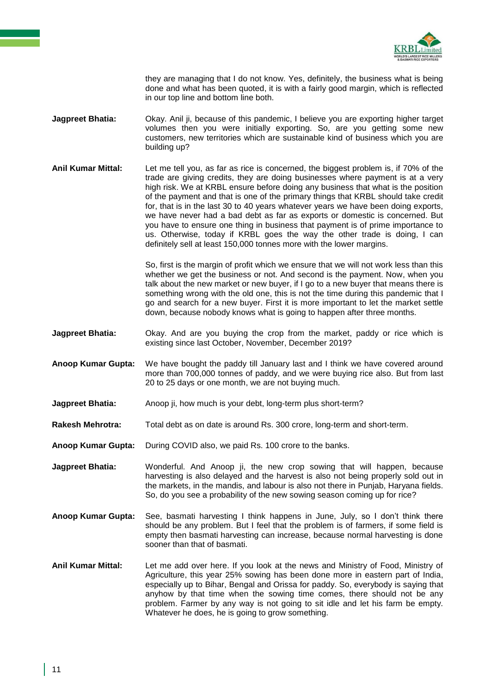

they are managing that I do not know. Yes, definitely, the business what is being done and what has been quoted, it is with a fairly good margin, which is reflected in our top line and bottom line both.

- **Jagpreet Bhatia:** Okay. Anil ji, because of this pandemic, I believe you are exporting higher target volumes then you were initially exporting. So, are you getting some new customers, new territories which are sustainable kind of business which you are building up?
- **Anil Kumar Mittal:** Let me tell you, as far as rice is concerned, the biggest problem is, if 70% of the trade are giving credits, they are doing businesses where payment is at a very high risk. We at KRBL ensure before doing any business that what is the position of the payment and that is one of the primary things that KRBL should take credit for, that is in the last 30 to 40 years whatever years we have been doing exports, we have never had a bad debt as far as exports or domestic is concerned. But you have to ensure one thing in business that payment is of prime importance to us. Otherwise, today if KRBL goes the way the other trade is doing, I can definitely sell at least 150,000 tonnes more with the lower margins.

So, first is the margin of profit which we ensure that we will not work less than this whether we get the business or not. And second is the payment. Now, when you talk about the new market or new buyer, if I go to a new buyer that means there is something wrong with the old one, this is not the time during this pandemic that I go and search for a new buyer. First it is more important to let the market settle down, because nobody knows what is going to happen after three months.

- **Jagpreet Bhatia:** Okay. And are you buying the crop from the market, paddy or rice which is existing since last October, November, December 2019?
- **Anoop Kumar Gupta:** We have bought the paddy till January last and I think we have covered around more than 700,000 tonnes of paddy, and we were buying rice also. But from last 20 to 25 days or one month, we are not buying much.
- **Jagpreet Bhatia:** Anoop ji, how much is your debt, long-term plus short-term?
- **Rakesh Mehrotra:** Total debt as on date is around Rs. 300 crore, long-term and short-term.
- **Anoop Kumar Gupta:** During COVID also, we paid Rs. 100 crore to the banks.
- **Jagpreet Bhatia:** Wonderful. And Anoop ji, the new crop sowing that will happen, because harvesting is also delayed and the harvest is also not being properly sold out in the markets, in the mandis, and labour is also not there in Punjab, Haryana fields. So, do you see a probability of the new sowing season coming up for rice?
- **Anoop Kumar Gupta:** See, basmati harvesting I think happens in June, July, so I don't think there should be any problem. But I feel that the problem is of farmers, if some field is empty then basmati harvesting can increase, because normal harvesting is done sooner than that of basmati.
- **Anil Kumar Mittal:** Let me add over here. If you look at the news and Ministry of Food, Ministry of Agriculture, this year 25% sowing has been done more in eastern part of India, especially up to Bihar, Bengal and Orissa for paddy. So, everybody is saying that anyhow by that time when the sowing time comes, there should not be any problem. Farmer by any way is not going to sit idle and let his farm be empty. Whatever he does, he is going to grow something.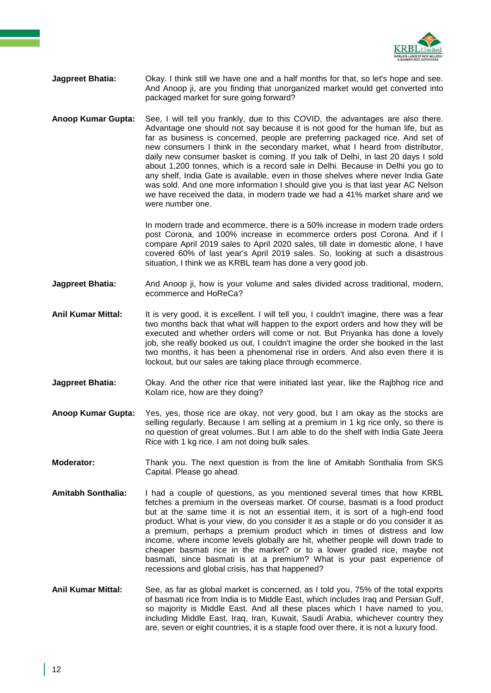

- **Jagpreet Bhatia:** Okay. I think still we have one and a half months for that, so let's hope and see. And Anoop ji, are you finding that unorganized market would get converted into packaged market for sure going forward?
- **Anoop Kumar Gupta:** See, I will tell you frankly, due to this COVID, the advantages are also there. Advantage one should not say because it is not good for the human life, but as far as business is concerned, people are preferring packaged rice. And set of new consumers I think in the secondary market, what I heard from distributor, daily new consumer basket is coming. If you talk of Delhi, in last 20 days I sold about 1,200 tonnes, which is a record sale in Delhi. Because in Delhi you go to any shelf, India Gate is available, even in those shelves where never India Gate was sold. And one more information I should give you is that last year AC Nelson we have received the data, in modern trade we had a 41% market share and we were number one.

In modern trade and ecommerce, there is a 50% increase in modern trade orders post Corona, and 100% increase in ecommerce orders post Corona. And if I compare April 2019 sales to April 2020 sales, till date in domestic alone, I have covered 60% of last year's April 2019 sales. So, looking at such a disastrous situation, I think we as KRBL team has done a very good job.

- **Jagpreet Bhatia:** And Anoop ji, how is your volume and sales divided across traditional, modern, ecommerce and HoReCa?
- **Anil Kumar Mittal:** It is very good, it is excellent. I will tell you, I couldn't imagine, there was a fear two months back that what will happen to the export orders and how they will be executed and whether orders will come or not. But Priyanka has done a lovely job, she really booked us out, I couldn't imagine the order she booked in the last two months, it has been a phenomenal rise in orders. And also even there it is lockout, but our sales are taking place through ecommerce.
- **Jagpreet Bhatia:** Okay. And the other rice that were initiated last year, like the Rajbhog rice and Kolam rice, how are they doing?
- **Anoop Kumar Gupta:** Yes, yes, those rice are okay, not very good, but I am okay as the stocks are selling regularly. Because I am selling at a premium in 1 kg rice only, so there is no question of great volumes. But I am able to do the shelf with India Gate Jeera Rice with 1 kg rice. I am not doing bulk sales.
- **Moderator:** Thank you. The next question is from the line of Amitabh Sonthalia from SKS Capital. Please go ahead.
- **Amitabh Sonthalia:** I had a couple of questions, as you mentioned several times that how KRBL fetches a premium in the overseas market. Of course, basmati is a food product but at the same time it is not an essential item, it is sort of a high-end food product. What is your view, do you consider it as a staple or do you consider it as a premium, perhaps a premium product which in times of distress and low income, where income levels globally are hit, whether people will down trade to cheaper basmati rice in the market? or to a lower graded rice, maybe not basmati, since basmati is at a premium? What is your past experience of recessions and global crisis, has that happened?
- **Anil Kumar Mittal:** See, as far as global market is concerned, as I told you, 75% of the total exports of basmati rice from India is to Middle East, which includes Iraq and Persian Gulf, so majority is Middle East. And all these places which I have named to you, including Middle East, Iraq, Iran, Kuwait, Saudi Arabia, whichever country they are, seven or eight countries, it is a staple food over there, it is not a luxury food.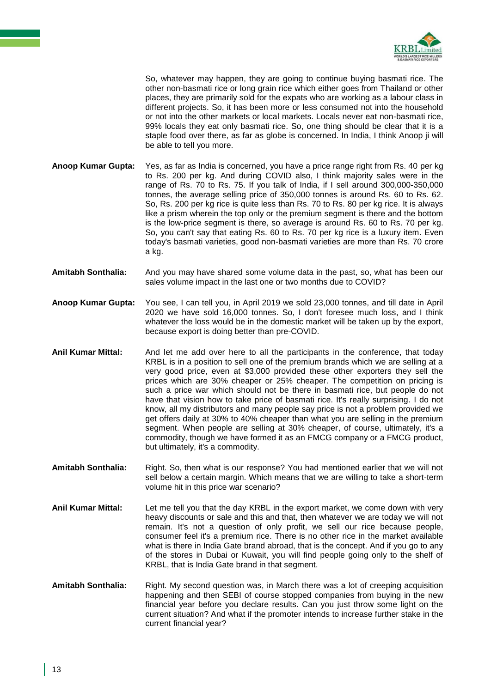

So, whatever may happen, they are going to continue buying basmati rice. The other non-basmati rice or long grain rice which either goes from Thailand or other places, they are primarily sold for the expats who are working as a labour class in different projects. So, it has been more or less consumed not into the household or not into the other markets or local markets. Locals never eat non-basmati rice, 99% locals they eat only basmati rice. So, one thing should be clear that it is a staple food over there, as far as globe is concerned. In India, I think Anoop ji will be able to tell you more.

**Anoop Kumar Gupta:** Yes, as far as India is concerned, you have a price range right from Rs. 40 per kg to Rs. 200 per kg. And during COVID also, I think majority sales were in the range of Rs. 70 to Rs. 75. If you talk of India, if I sell around 300,000-350,000 tonnes, the average selling price of 350,000 tonnes is around Rs. 60 to Rs. 62. So, Rs. 200 per kg rice is quite less than Rs. 70 to Rs. 80 per kg rice. It is always like a prism wherein the top only or the premium segment is there and the bottom is the low-price segment is there, so average is around Rs. 60 to Rs. 70 per kg. So, you can't say that eating Rs. 60 to Rs. 70 per kg rice is a luxury item. Even today's basmati varieties, good non-basmati varieties are more than Rs. 70 crore a kg.

- **Amitabh Sonthalia:** And you may have shared some volume data in the past, so, what has been our sales volume impact in the last one or two months due to COVID?
- **Anoop Kumar Gupta:** You see, I can tell you, in April 2019 we sold 23,000 tonnes, and till date in April 2020 we have sold 16,000 tonnes. So, I don't foresee much loss, and I think whatever the loss would be in the domestic market will be taken up by the export, because export is doing better than pre-COVID.
- **Anil Kumar Mittal:** And let me add over here to all the participants in the conference, that today KRBL is in a position to sell one of the premium brands which we are selling at a very good price, even at \$3,000 provided these other exporters they sell the prices which are 30% cheaper or 25% cheaper. The competition on pricing is such a price war which should not be there in basmati rice, but people do not have that vision how to take price of basmati rice. It's really surprising. I do not know, all my distributors and many people say price is not a problem provided we get offers daily at 30% to 40% cheaper than what you are selling in the premium segment. When people are selling at 30% cheaper, of course, ultimately, it's a commodity, though we have formed it as an FMCG company or a FMCG product, but ultimately, it's a commodity.
- **Amitabh Sonthalia:** Right. So, then what is our response? You had mentioned earlier that we will not sell below a certain margin. Which means that we are willing to take a short-term volume hit in this price war scenario?
- **Anil Kumar Mittal:** Let me tell you that the day KRBL in the export market, we come down with very heavy discounts or sale and this and that, then whatever we are today we will not remain. It's not a question of only profit, we sell our rice because people, consumer feel it's a premium rice. There is no other rice in the market available what is there in India Gate brand abroad, that is the concept. And if you go to any of the stores in Dubai or Kuwait, you will find people going only to the shelf of KRBL, that is India Gate brand in that segment.
- **Amitabh Sonthalia:** Right. My second question was, in March there was a lot of creeping acquisition happening and then SEBI of course stopped companies from buying in the new financial year before you declare results. Can you just throw some light on the current situation? And what if the promoter intends to increase further stake in the current financial year?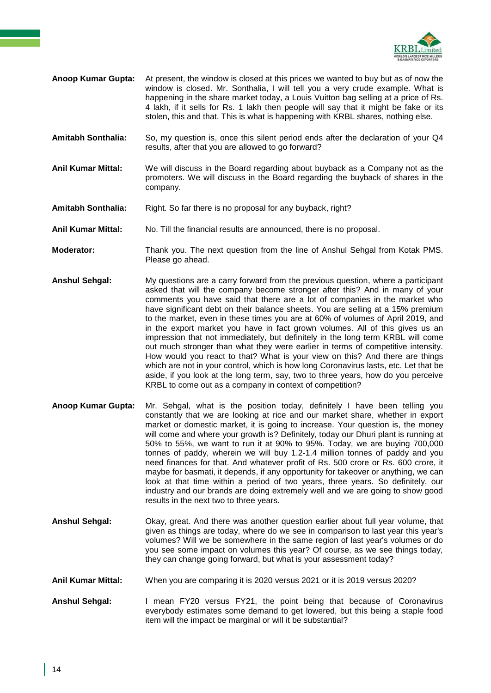

- **Anoop Kumar Gupta:** At present, the window is closed at this prices we wanted to buy but as of now the window is closed. Mr. Sonthalia, I will tell you a very crude example. What is happening in the share market today, a Louis Vuitton bag selling at a price of Rs. 4 lakh, if it sells for Rs. 1 lakh then people will say that it might be fake or its stolen, this and that. This is what is happening with KRBL shares, nothing else.
- **Amitabh Sonthalia:** So, my question is, once this silent period ends after the declaration of your Q4 results, after that you are allowed to go forward?
- **Anil Kumar Mittal:** We will discuss in the Board regarding about buyback as a Company not as the promoters. We will discuss in the Board regarding the buyback of shares in the company.
- **Amitabh Sonthalia:** Right. So far there is no proposal for any buyback, right?
- **Anil Kumar Mittal:** No. Till the financial results are announced, there is no proposal.
- **Moderator:** Thank you. The next question from the line of Anshul Sehgal from Kotak PMS. Please go ahead.
- **Anshul Sehgal:** My questions are a carry forward from the previous question, where a participant asked that will the company become stronger after this? And in many of your comments you have said that there are a lot of companies in the market who have significant debt on their balance sheets. You are selling at a 15% premium to the market, even in these times you are at 60% of volumes of April 2019, and in the export market you have in fact grown volumes. All of this gives us an impression that not immediately, but definitely in the long term KRBL will come out much stronger than what they were earlier in terms of competitive intensity. How would you react to that? What is your view on this? And there are things which are not in your control, which is how long Coronavirus lasts, etc. Let that be aside, if you look at the long term, say, two to three years, how do you perceive KRBL to come out as a company in context of competition?
- **Anoop Kumar Gupta:** Mr. Sehgal, what is the position today, definitely I have been telling you constantly that we are looking at rice and our market share, whether in export market or domestic market, it is going to increase. Your question is, the money will come and where your growth is? Definitely, today our Dhuri plant is running at 50% to 55%, we want to run it at 90% to 95%. Today, we are buying 700,000 tonnes of paddy, wherein we will buy 1.2-1.4 million tonnes of paddy and you need finances for that. And whatever profit of Rs. 500 crore or Rs. 600 crore, it maybe for basmati, it depends, if any opportunity for takeover or anything, we can look at that time within a period of two years, three years. So definitely, our industry and our brands are doing extremely well and we are going to show good results in the next two to three years.
- **Anshul Sehgal:** Okay, great. And there was another question earlier about full year volume, that given as things are today, where do we see in comparison to last year this year's volumes? Will we be somewhere in the same region of last year's volumes or do you see some impact on volumes this year? Of course, as we see things today, they can change going forward, but what is your assessment today?
- **Anil Kumar Mittal:** When you are comparing it is 2020 versus 2021 or it is 2019 versus 2020?
- **Anshul Sehgal:** I mean FY20 versus FY21, the point being that because of Coronavirus everybody estimates some demand to get lowered, but this being a staple food item will the impact be marginal or will it be substantial?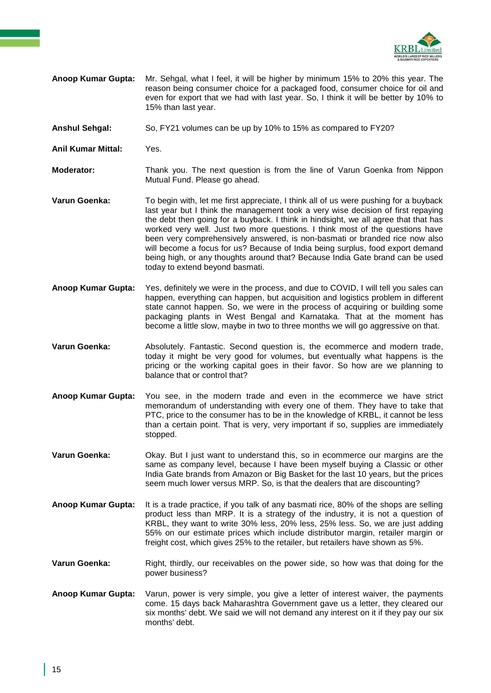

- **Anoop Kumar Gupta:** Mr. Sehgal, what I feel, it will be higher by minimum 15% to 20% this year. The reason being consumer choice for a packaged food, consumer choice for oil and even for export that we had with last year. So, I think it will be better by 10% to 15% than last year.
- **Anshul Sehgal:** So, FY21 volumes can be up by 10% to 15% as compared to FY20?
- **Anil Kumar Mittal:** Yes.
- **Moderator:** Thank you. The next question is from the line of Varun Goenka from Nippon Mutual Fund. Please go ahead.
- **Varun Goenka:** To begin with, let me first appreciate, I think all of us were pushing for a buyback last year but I think the management took a very wise decision of first repaying the debt then going for a buyback. I think in hindsight, we all agree that that has worked very well. Just two more questions. I think most of the questions have been very comprehensively answered, is non-basmati or branded rice now also will become a focus for us? Because of India being surplus, food export demand being high, or any thoughts around that? Because India Gate brand can be used today to extend beyond basmati.
- **Anoop Kumar Gupta:** Yes, definitely we were in the process, and due to COVID, I will tell you sales can happen, everything can happen, but acquisition and logistics problem in different state cannot happen. So, we were in the process of acquiring or building some packaging plants in West Bengal and Karnataka. That at the moment has become a little slow, maybe in two to three months we will go aggressive on that.
- **Varun Goenka:** Absolutely. Fantastic. Second question is, the ecommerce and modern trade, today it might be very good for volumes, but eventually what happens is the pricing or the working capital goes in their favor. So how are we planning to balance that or control that?
- **Anoop Kumar Gupta:** You see, in the modern trade and even in the ecommerce we have strict memorandum of understanding with every one of them. They have to take that PTC, price to the consumer has to be in the knowledge of KRBL, it cannot be less than a certain point. That is very, very important if so, supplies are immediately stopped.
- **Varun Goenka:** Okay. But I just want to understand this, so in ecommerce our margins are the same as company level, because I have been myself buying a Classic or other India Gate brands from Amazon or Big Basket for the last 10 years, but the prices seem much lower versus MRP. So, is that the dealers that are discounting?
- **Anoop Kumar Gupta:** It is a trade practice, if you talk of any basmati rice, 80% of the shops are selling product less than MRP. It is a strategy of the industry, it is not a question of KRBL, they want to write 30% less, 20% less, 25% less. So, we are just adding 55% on our estimate prices which include distributor margin, retailer margin or freight cost, which gives 25% to the retailer, but retailers have shown as 5%.
- **Varun Goenka:** Right, thirdly, our receivables on the power side, so how was that doing for the power business?
- **Anoop Kumar Gupta:** Varun, power is very simple, you give a letter of interest waiver, the payments come. 15 days back Maharashtra Government gave us a letter, they cleared our six months' debt. We said we will not demand any interest on it if they pay our six months' debt.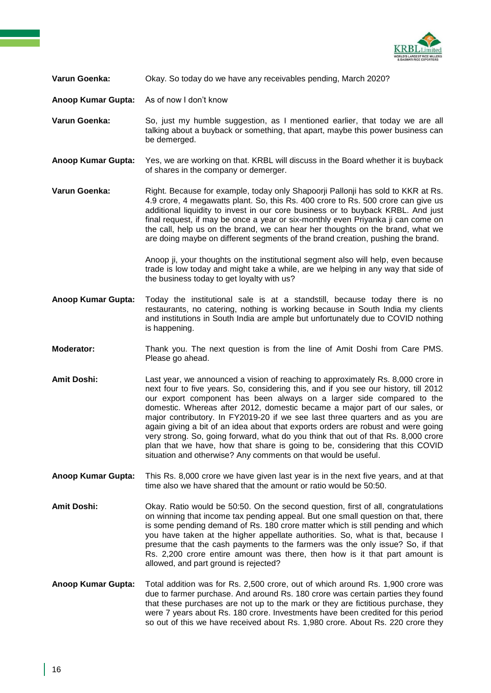

## **Varun Goenka:** Okay. So today do we have any receivables pending, March 2020?

**Anoop Kumar Gupta:** As of now I don't know

- **Varun Goenka:** So, just my humble suggestion, as I mentioned earlier, that today we are all talking about a buyback or something, that apart, maybe this power business can be demerged.
- **Anoop Kumar Gupta:** Yes, we are working on that. KRBL will discuss in the Board whether it is buyback of shares in the company or demerger.

**Varun Goenka:** Right. Because for example, today only Shapoorji Pallonji has sold to KKR at Rs. 4.9 crore, 4 megawatts plant. So, this Rs. 400 crore to Rs. 500 crore can give us additional liquidity to invest in our core business or to buyback KRBL. And just final request, if may be once a year or six-monthly even Priyanka ji can come on the call, help us on the brand, we can hear her thoughts on the brand, what we are doing maybe on different segments of the brand creation, pushing the brand.

> Anoop ji, your thoughts on the institutional segment also will help, even because trade is low today and might take a while, are we helping in any way that side of the business today to get loyalty with us?

- **Anoop Kumar Gupta:** Today the institutional sale is at a standstill, because today there is no restaurants, no catering, nothing is working because in South India my clients and institutions in South India are ample but unfortunately due to COVID nothing is happening.
- **Moderator:** Thank you. The next question is from the line of Amit Doshi from Care PMS. Please go ahead.
- **Amit Doshi:** Last year, we announced a vision of reaching to approximately Rs. 8,000 crore in next four to five years. So, considering this, and if you see our history, till 2012 our export component has been always on a larger side compared to the domestic. Whereas after 2012, domestic became a major part of our sales, or major contributory. In FY2019-20 if we see last three quarters and as you are again giving a bit of an idea about that exports orders are robust and were going very strong. So, going forward, what do you think that out of that Rs. 8,000 crore plan that we have, how that share is going to be, considering that this COVID situation and otherwise? Any comments on that would be useful.
- **Anoop Kumar Gupta:** This Rs. 8,000 crore we have given last year is in the next five years, and at that time also we have shared that the amount or ratio would be 50:50.
- **Amit Doshi:** Okay. Ratio would be 50:50. On the second question, first of all, congratulations on winning that income tax pending appeal. But one small question on that, there is some pending demand of Rs. 180 crore matter which is still pending and which you have taken at the higher appellate authorities. So, what is that, because I presume that the cash payments to the farmers was the only issue? So, if that Rs. 2,200 crore entire amount was there, then how is it that part amount is allowed, and part ground is rejected?
- **Anoop Kumar Gupta:** Total addition was for Rs. 2,500 crore, out of which around Rs. 1,900 crore was due to farmer purchase. And around Rs. 180 crore was certain parties they found that these purchases are not up to the mark or they are fictitious purchase, they were 7 years about Rs. 180 crore. Investments have been credited for this period so out of this we have received about Rs. 1,980 crore. About Rs. 220 crore they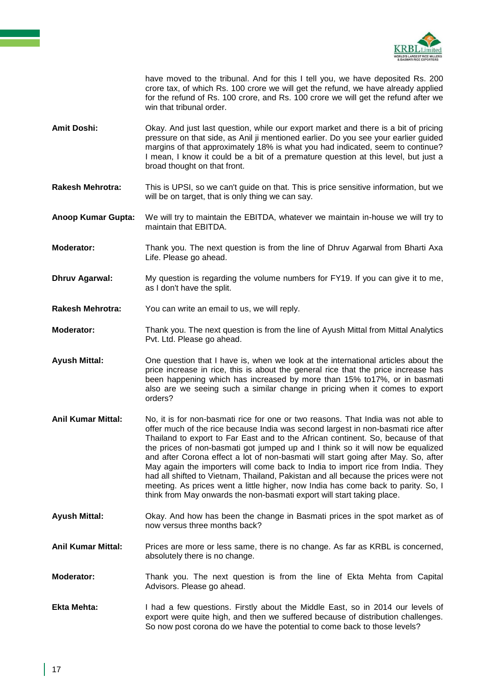

have moved to the tribunal. And for this I tell you, we have deposited Rs. 200 crore tax, of which Rs. 100 crore we will get the refund, we have already applied for the refund of Rs. 100 crore, and Rs. 100 crore we will get the refund after we win that tribunal order

- **Amit Doshi:** Okay. And just last question, while our export market and there is a bit of pricing pressure on that side, as Anil ji mentioned earlier. Do you see your earlier guided margins of that approximately 18% is what you had indicated, seem to continue? I mean, I know it could be a bit of a premature question at this level, but just a broad thought on that front.
- **Rakesh Mehrotra:** This is UPSI, so we can't guide on that. This is price sensitive information, but we will be on target, that is only thing we can say.

**Anoop Kumar Gupta:** We will try to maintain the EBITDA, whatever we maintain in-house we will try to maintain that EBITDA.

- **Moderator:** Thank you. The next question is from the line of Dhruv Agarwal from Bharti Axa Life. Please go ahead.
- **Dhruv Agarwal:** My question is regarding the volume numbers for FY19. If you can give it to me, as I don't have the split.
- **Rakesh Mehrotra:** You can write an email to us, we will reply.
- **Moderator:** Thank you. The next question is from the line of Ayush Mittal from Mittal Analytics Pvt. Ltd. Please go ahead.
- **Ayush Mittal:** One question that I have is, when we look at the international articles about the price increase in rice, this is about the general rice that the price increase has been happening which has increased by more than 15% to17%, or in basmati also are we seeing such a similar change in pricing when it comes to export orders?
- **Anil Kumar Mittal:** No, it is for non-basmati rice for one or two reasons. That India was not able to offer much of the rice because India was second largest in non-basmati rice after Thailand to export to Far East and to the African continent. So, because of that the prices of non-basmati got jumped up and I think so it will now be equalized and after Corona effect a lot of non-basmati will start going after May. So, after May again the importers will come back to India to import rice from India. They had all shifted to Vietnam, Thailand, Pakistan and all because the prices were not meeting. As prices went a little higher, now India has come back to parity. So, I think from May onwards the non-basmati export will start taking place.
- **Ayush Mittal:** Okay. And how has been the change in Basmati prices in the spot market as of now versus three months back?
- **Anil Kumar Mittal:** Prices are more or less same, there is no change. As far as KRBL is concerned, absolutely there is no change.
- **Moderator:** Thank you. The next question is from the line of Ekta Mehta from Capital Advisors. Please go ahead.
- **Ekta Mehta:** I had a few questions. Firstly about the Middle East, so in 2014 our levels of export were quite high, and then we suffered because of distribution challenges. So now post corona do we have the potential to come back to those levels?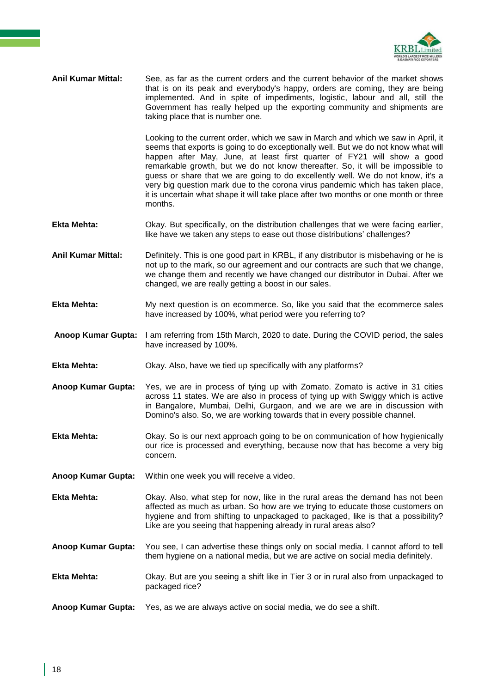

**Anil Kumar Mittal:** See, as far as the current orders and the current behavior of the market shows that is on its peak and everybody's happy, orders are coming, they are being implemented. And in spite of impediments, logistic, labour and all, still the Government has really helped up the exporting community and shipments are taking place that is number one.

> Looking to the current order, which we saw in March and which we saw in April, it seems that exports is going to do exceptionally well. But we do not know what will happen after May, June, at least first quarter of FY21 will show a good remarkable growth, but we do not know thereafter. So, it will be impossible to guess or share that we are going to do excellently well. We do not know, it's a very big question mark due to the corona virus pandemic which has taken place, it is uncertain what shape it will take place after two months or one month or three months.

- **Ekta Mehta:** Okay. But specifically, on the distribution challenges that we were facing earlier, like have we taken any steps to ease out those distributions' challenges?
- **Anil Kumar Mittal:** Definitely. This is one good part in KRBL, if any distributor is misbehaving or he is not up to the mark, so our agreement and our contracts are such that we change, we change them and recently we have changed our distributor in Dubai. After we changed, we are really getting a boost in our sales.
- **Ekta Mehta:** My next question is on ecommerce. So, like you said that the ecommerce sales have increased by 100%, what period were you referring to?
- **Anoop Kumar Gupta:** I am referring from 15th March, 2020 to date. During the COVID period, the sales have increased by 100%.
- **Ekta Mehta:** Okay. Also, have we tied up specifically with any platforms?
- **Anoop Kumar Gupta:** Yes, we are in process of tying up with Zomato. Zomato is active in 31 cities across 11 states. We are also in process of tying up with Swiggy which is active in Bangalore, Mumbai, Delhi, Gurgaon, and we are we are in discussion with Domino's also. So, we are working towards that in every possible channel.
- **Ekta Mehta:** Okay. So is our next approach going to be on communication of how hygienically our rice is processed and everything, because now that has become a very big concern.
- **Anoop Kumar Gupta:** Within one week you will receive a video.
- **Ekta Mehta:** Okay. Also, what step for now, like in the rural areas the demand has not been affected as much as urban. So how are we trying to educate those customers on hygiene and from shifting to unpackaged to packaged, like is that a possibility? Like are you seeing that happening already in rural areas also?
- **Anoop Kumar Gupta:** You see, I can advertise these things only on social media. I cannot afford to tell them hygiene on a national media, but we are active on social media definitely.
- **Ekta Mehta:** Okay. But are you seeing a shift like in Tier 3 or in rural also from unpackaged to packaged rice?
- **Anoop Kumar Gupta:** Yes, as we are always active on social media, we do see a shift.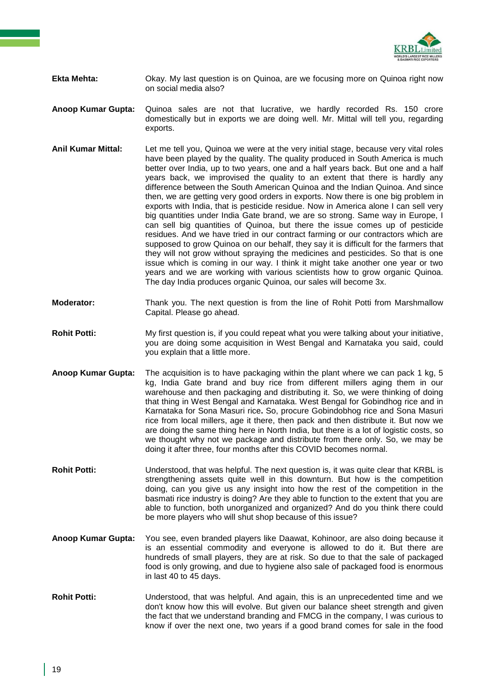

- **Ekta Mehta:** Okay. My last question is on Quinoa, are we focusing more on Quinoa right now on social media also?
- **Anoop Kumar Gupta:** Quinoa sales are not that lucrative, we hardly recorded Rs. 150 crore domestically but in exports we are doing well. Mr. Mittal will tell you, regarding exports.
- **Anil Kumar Mittal:** Let me tell you, Quinoa we were at the very initial stage, because very vital roles have been played by the quality. The quality produced in South America is much better over India, up to two years, one and a half years back. But one and a half years back, we improvised the quality to an extent that there is hardly any difference between the South American Quinoa and the Indian Quinoa. And since then, we are getting very good orders in exports. Now there is one big problem in exports with India, that is pesticide residue. Now in America alone I can sell very big quantities under India Gate brand, we are so strong. Same way in Europe, I can sell big quantities of Quinoa, but there the issue comes up of pesticide residues. And we have tried in our contract farming or our contractors which are supposed to grow Quinoa on our behalf, they say it is difficult for the farmers that they will not grow without spraying the medicines and pesticides. So that is one issue which is coming in our way. I think it might take another one year or two years and we are working with various scientists how to grow organic Quinoa. The day India produces organic Quinoa, our sales will become 3x.
- **Moderator:** Thank you. The next question is from the line of Rohit Potti from Marshmallow Capital. Please go ahead.
- **Rohit Potti:** My first question is, if you could repeat what you were talking about your initiative, you are doing some acquisition in West Bengal and Karnataka you said, could you explain that a little more.
- **Anoop Kumar Gupta:** The acquisition is to have packaging within the plant where we can pack 1 kg, 5 kg, India Gate brand and buy rice from different millers aging them in our warehouse and then packaging and distributing it. So, we were thinking of doing that thing in West Bengal and Karnataka. West Bengal for Gobindhog rice and in Karnataka for Sona Masuri rice**.** So, procure Gobindobhog rice and Sona Masuri rice from local millers, age it there, then pack and then distribute it. But now we are doing the same thing here in North India, but there is a lot of logistic costs, so we thought why not we package and distribute from there only. So, we may be doing it after three, four months after this COVID becomes normal.
- **Rohit Potti:** Understood, that was helpful. The next question is, it was quite clear that KRBL is strengthening assets quite well in this downturn. But how is the competition doing, can you give us any insight into how the rest of the competition in the basmati rice industry is doing? Are they able to function to the extent that you are able to function, both unorganized and organized? And do you think there could be more players who will shut shop because of this issue?
- **Anoop Kumar Gupta:** You see, even branded players like Daawat, Kohinoor, are also doing because it is an essential commodity and everyone is allowed to do it. But there are hundreds of small players, they are at risk. So due to that the sale of packaged food is only growing, and due to hygiene also sale of packaged food is enormous in last 40 to 45 days.
- **Rohit Potti:** Understood, that was helpful. And again, this is an unprecedented time and we don't know how this will evolve. But given our balance sheet strength and given the fact that we understand branding and FMCG in the company, I was curious to know if over the next one, two years if a good brand comes for sale in the food